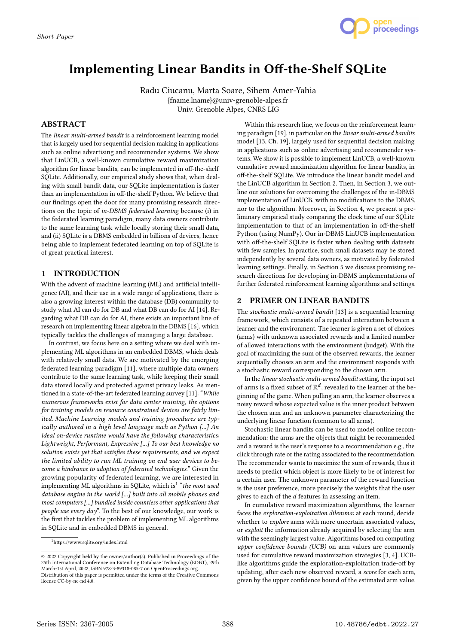

# Implementing Linear Bandits in Off-the-Shelf SQLite

Radu Ciucanu, Marta Soare, Sihem Amer-Yahia {fname.lname}@univ-grenoble-alpes.fr Univ. Grenoble Alpes, CNRS LIG

## ABSTRACT

The linear multi-armed bandit is a reinforcement learning model that is largely used for sequential decision making in applications such as online advertising and recommender systems. We show that LinUCB, a well-known cumulative reward maximization algorithm for linear bandits, can be implemented in off-the-shelf SQLite. Additionally, our empirical study shows that, when dealing with small bandit data, our SQLite implementation is faster than an implementation in off-the-shelf Python. We believe that our findings open the door for many promising research directions on the topic of in-DBMS federated learning because (i) in the federated learning paradigm, many data owners contribute to the same learning task while locally storing their small data, and (ii) SQLite is a DBMS embedded in billions of devices, hence being able to implement federated learning on top of SQLite is of great practical interest.

# 1 INTRODUCTION

With the advent of machine learning (ML) and artificial intelligence (AI), and their use in a wide range of applications, there is also a growing interest within the database (DB) community to study what AI can do for DB and what DB can do for AI [14]. Regarding what DB can do for AI, there exists an important line of research on implementing linear algebra in the DBMS [16], which typically tackles the challenges of managing a large database.

In contrast, we focus here on a setting where we deal with implementing ML algorithms in an embedded DBMS, which deals with relatively small data. We are motivated by the emerging federated learning paradigm [11], where multiple data owners contribute to the same learning task, while keeping their small data stored locally and protected against privacy leaks. As mentioned in a state-of-the-art federated learning survey [11]: "While numerous frameworks exist for data center training, the options for training models on resource constrained devices are fairly limited. Machine Learning models and training procedures are typically authored in a high level language such as Python [...] An ideal on-device runtime would have the following characteristics: Lightweight, Performant, Expressive [...] To our best knowledge no solution exists yet that satisfies these requirements, and we expect the limited ability to run ML training on end user devices to become a hindrance to adoption of federated technologies." Given the growing popularity of federated learning, we are interested in implementing ML algorithms in SQLite, which is $1$  "the most used database engine in the world [...] built into all mobile phones and most computers [...] bundled inside countless other applications that people use every day". To the best of our knowledge, our work is the first that tackles the problem of implementing ML algorithms in SQLite and in embedded DBMS in general.

Within this research line, we focus on the reinforcement learning paradigm [19], in particular on the linear multi-armed bandits model [13, Ch. 19], largely used for sequential decision making in applications such as online advertising and recommender systems. We show it is possible to implement LinUCB, a well-known cumulative reward maximization algorithm for linear bandits, in off-the-shelf SQLite. We introduce the linear bandit model and the LinUCB algorithm in Section 2. Then, in Section 3, we outline our solutions for overcoming the challenges of the in-DBMS implementation of LinUCB, with no modifications to the DBMS, nor to the algorithm. Moreover, in Section 4, we present a preliminary empirical study comparing the clock time of our SQLite implementation to that of an implementation in off-the-shelf Python (using NumPy). Our in-DBMS LinUCB implementation with off-the-shelf SQLite is faster when dealing with datasets with few samples. In practice, such small datasets may be stored independently by several data owners, as motivated by federated learning settings. Finally, in Section 5 we discuss promising research directions for developing in-DBMS implementations of further federated reinforcement learning algorithms and settings.

# 2 PRIMER ON LINEAR BANDITS

The stochastic multi-armed bandit [13] is a sequential learning framework, which consists of a repeated interaction between a learner and the environment. The learner is given a set of choices (arms) with unknown associated rewards and a limited number of allowed interactions with the environment (budget). With the goal of maximizing the sum of the observed rewards, the learner sequentially chooses an arm and the environment responds with a stochastic reward corresponding to the chosen arm.

In the linear stochastic multi-armed bandit setting, the input set of arms is a fixed subset of  $\mathbb{R}^d$ , revealed to the learner at the beginning of the game. When pulling an arm, the learner observes a noisy reward whose expected value is the inner product between the chosen arm and an unknown parameter characterizing the underlying linear function (common to all arms).

Stochastic linear bandits can be used to model online recommendation: the arms are the objects that might be recommended and a reward is the user's response to a recommendation e.g., the click through rate or the rating associated to the recommendation. The recommender wants to maximize the sum of rewards, thus it needs to predict which object is more likely to be of interest for a certain user. The unknown parameter of the reward function is the user preference, more precisely the weights that the user gives to each of the  $d$  features in assessing an item.

In cumulative reward maximization algorithms, the learner faces the exploration-exploitation dilemma: at each round, decide whether to *explore* arms with more uncertain associated values, or exploit the information already acquired by selecting the arm with the seemingly largest value. Algorithms based on computing upper confidence bounds (UCB) on arm values are commonly used for cumulative reward maximization strategies [3, 4]. UCBlike algorithms guide the exploration-exploitation trade-off by updating, after each new observed reward, a score for each arm, given by the upper confidence bound of the estimated arm value.

<sup>1</sup>https://www.sqlite.org/index.html

<sup>©</sup> 2022 Copyright held by the owner/author(s). Published in Proceedings of the 25th International Conference on Extending Database Technology (EDBT), 29th March-1st April, 2022, ISBN 978-3-89318-085-7 on OpenProceedings.org. Distribution of this paper is permitted under the terms of the Creative Commons license CC-by-nc-nd 4.0.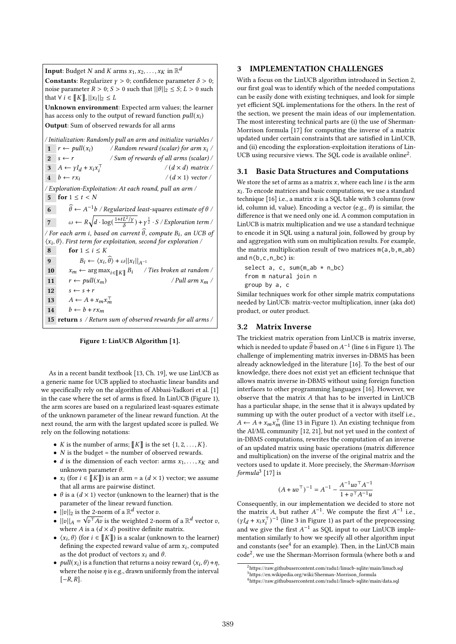**Input**: Budget  $N$  and  $K$  arms  $x_1, x_2, \ldots, x_K$  in  $\mathbb{R}^d$ **Constants:** Regularizer  $\gamma > 0$ ; confidence parameter  $\delta > 0$ ; noise parameter  $R > 0$ ;  $S > 0$  such that  $||\theta||_2 \le S$ ;  $L > 0$  such that  $\forall i \in [[K]], ||x_i||_2 \leq L$ Unknown environment: Expected arm values; the learner has access only to the output of reward function  $pull(x_i)$ Output: Sum of observed rewards for all arms / Initialization: Randomly pull an arm and initialize variables / 1  $r \leftarrow \text{pull}(x_i)$  / Random reward (scalar) for arm  $x_i$  $2 \quad s \leftarrow r$  / Sum of rewards of all arms (scalar) / 3  $A \leftarrow \gamma I_d + x_i x_i^{\top}$  $/(d \times d)$  matrix /  $4 \quad b \leftarrow rx_i$  $/(d \times 1)$  vector / / Exploration-Exploitation: At each round, pull an arm / 5 for  $1 \leq t < N$ 6  $\widehat{\theta} \leftarrow A^{-1}b$  / Regularized least-squares estimate of  $\theta$  / 7  $\omega \leftarrow R \sqrt{d \cdot \log(\frac{1 + tL^2/\gamma}{\delta})} + \gamma^{\frac{1}{2}} \cdot S / Exploration term /$ / For each arm i, based on current  $\widehat{\theta}$ , compute  $B_i$ , an UCB of  $\langle x_i, \theta \rangle$ . First term for exploitation, second for exploration / 8 for  $1 \le i \le K$ 9  $B_i \leftarrow \langle x_i, \widehat{\theta} \rangle + \omega ||x_i||_{A^{-1}}$ 10  $x_m \leftarrow \arg \max_{i \in \llbracket K \rrbracket} B_i$  / Ties broken at random / 11  $r \leftarrow pull(x_m)$  / Pull arm  $x_m$  / 12  $s \leftarrow s + r$ 13  $A \leftarrow A + x_m x_m^{\top}$ 14  $b \leftarrow b + rx_m$ 15 return s / Return sum of observed rewards for all arms /



As in a recent bandit textbook [13, Ch. 19], we use LinUCB as a generic name for UCB applied to stochastic linear bandits and we specifically rely on the algorithm of Abbasi-Yadkori et al. [1] in the case where the set of arms is fixed. In LinUCB (Figure 1), the arm scores are based on a regularized least-squares estimate of the unknown parameter of the linear reward function. At the next round, the arm with the largest updated score is pulled. We rely on the following notations:

- *K* is the number of arms;  $\llbracket K \rrbracket$  is the set  $\{1, 2, \ldots, K\}$ .
- $N$  is the budget = the number of observed rewards.
- *d* is the dimension of each vector: arms  $x_1, \ldots, x_K$  and unknown parameter  $\theta$ .
- $x_i$  (for  $i \in [[K]])$  is an arm = a  $(d \times 1)$  vector; we assume that all arms are pairwise distinct.
- $\theta$  is a ( $d \times 1$ ) vector (unknown to the learner) that is the parameter of the linear reward function.
- $||v||_2$  is the 2-norm of a  $\mathbb{R}^d$  vector  $v$ .
- $||v||_A = \sqrt{v^{\top}Av}$  is the weighted 2-norm of a  $\mathbb{R}^d$  vector v, where *A* is a  $(d \times d)$  positive definite matrix.
- $\langle x_i, \theta \rangle$  (for  $i \in \llbracket K \rrbracket$ ) is a scalar (unknown to the learner) defining the expected reward value of arm  $x_i$ , computed as the dot product of vectors  $x_i$  and  $\theta$ .
- pull( $x_i$ ) is a function that returns a noisy reward  $\langle x_i, \theta \rangle + \eta$ , where the noise  $\eta$  is e.g., drawn uniformly from the interval  $[-R, R]$ .

## 3 IMPLEMENTATION CHALLENGES

With a focus on the LinUCB algorithm introduced in Section 2, our first goal was to identify which of the needed computations can be easily done with existing techniques, and look for simple yet efficient SQL implementations for the others. In the rest of the section, we present the main ideas of our implementation. The most interesting technical parts are (i) the use of Sherman-Morrison formula [17] for computing the inverse of a matrix updated under certain constraints that are satisfied in LinUCB, and (ii) encoding the exploration-exploitation iterations of Lin-UCB using recursive views. The SQL code is available online<sup>2</sup>.

### 3.1 Basic Data Structures and Computations

We store the set of arms as a matrix  $x$ , where each line  $i$  is the arm  $x_i$ . To encode matrices and basic computations, we use a standard technique [16] i.e., a matrix  $x$  is a SQL table with 3 columns (row id, column id, value). Encoding a vector (e.g.,  $\theta$ ) is similar, the difference is that we need only one id. A common computation in LinUCB is matrix multiplication and we use a standard technique to encode it in SQL using a natural join, followed by group by and aggregation with sum on multiplication results. For example, the matrix multiplication result of two matrices m(a,b,m\_ab) and  $n(b, c, n, bc)$  is:

select a, c, sum $(m_ab * n_bc)$ from m natural join n group by a, c

Similar techniques work for other simple matrix computations needed by LinUCB: matrix-vector multiplication, inner (aka dot) product, or outer product.

### 3.2 Matrix Inverse

The trickiest matrix operation from LinUCB is matrix inverse, which is needed to update  $\widehat{\theta}$  based on  $A^{-1}$  (line 6 in Figure 1). The challenge of implementing matrix inverses in-DBMS has been already acknowledged in the literature [16]. To the best of our knowledge, there does not exist yet an efficient technique that allows matrix inverse in-DBMS without using foreign function interfaces to other programming languages [16]. However, we observe that the matrix  $A$  that has to be inverted in LinUCB has a particular shape, in the sense that it is always updated by summing up with the outer product of a vector with itself i.e.,  $A \leftarrow A + x_m x_m^{\top}$  (line 13 in Figure 1). An existing technique from the AI/ML community [12, 21], but not yet used in the context of in-DBMS computations, rewrites the computation of an inverse of an updated matrix using basic operations (matrix difference and multiplication) on the inverse of the original matrix and the vectors used to update it. More precisely, the Sherman-Morrison  $formula<sup>3</sup> [17]$  is

$$
(A + uvT)-1 = A-1 - \frac{A-1uvTA-1}{1 + vTA-1u}
$$

Consequently, in our implementation we decided to store not the matrix A, but rather  $A^{-1}$ . We compute the first  $A^{-1}$  i.e.,  $(\gamma I_d + x_i x_i^{\top})^{-1}$  (line 3 in Figure 1) as part of the preprocessing and we give the first  $A^{-1}$  as SQL input to our LinUCB implementation similarly to how we specify all other algorithm input and constants (see<sup>4</sup> for an example). Then, in the LinUCB main  $code<sup>2</sup>$ , we use the Sherman-Morrison formula (where both  $u$  and

 $^{2}$ https://raw.githubusercontent.com/radu1/linucb-sqlite/main/linucb.sql

<sup>3</sup>https://en.wikipedia.org/wiki/Sherman-Morrison\_formula

<sup>4</sup>https://raw.githubusercontent.com/radu1/linucb-sqlite/main/data.sql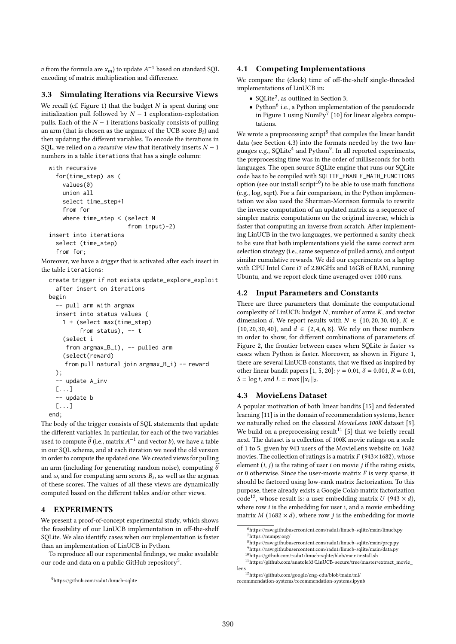$v$  from the formula are  $x_m$ ) to update  $A^{-1}$  based on standard SQL encoding of matrix multiplication and difference.

### 3.3 Simulating Iterations via Recursive Views

We recall (cf. Figure 1) that the budget  $N$  is spent during one initialization pull followed by  $N - 1$  exploration-exploitation pulls. Each of the  $N - 1$  iterations basically consists of pulling an arm (that is chosen as the argmax of the UCB score  $B_i$ ) and then updating the different variables. To encode the iterations in SQL, we relied on a *recursive view* that iteratively inserts  $N - 1$ numbers in a table iterations that has a single column:

```
with recursive
  for(time_step) as (
    values(0)
    union all
    select time_step+1
    from for
    where time_step < (select N
                        from input)-2)
insert into iterations
  select (time_step)
  from for;
```
Moreover, we have a trigger that is activated after each insert in the table iterations:

```
create trigger if not exists update_explore_exploit
  after insert on iterations
begin
  -- pull arm with argmax
  insert into status values (
    1 + (select max(time_step)
         from status), -- t
    (select i
     from argmax_B_i), -- pulled arm
    (select(reward)
    from pull natural join argmax_B_i) -- reward
  );
  -- update A_inv
  [...]
  -- update b
  [...]
end;
```
The body of the trigger consists of SQL statements that update the different variables. In particular, for each of the two variables used to compute  $\widehat{\theta}$  (i.e., matrix  $A^{-1}$  and vector b), we have a table in our SQL schema, and at each iteration we need the old version in order to compute the updated one. We created views for pulling an arm (including for generating random noise), computing  $\hat{\theta}$ and  $\omega$ , and for computing arm scores  $B_i$ , as well as the argmax of these scores. The values of all these views are dynamically computed based on the different tables and/or other views.

# 4 EXPERIMENTS

We present a proof-of-concept experimental study, which shows the feasibility of our LinUCB implementation in off-the-shelf SQLite. We also identify cases when our implementation is faster than an implementation of LinUCB in Python.

To reproduce all our experimental findings, we make available our code and data on a public GitHub repository<sup>5</sup>.

### 4.1 Competing Implementations

We compare the (clock) time of off-the-shelf single-threaded implementations of LinUCB in:

- SQLite<sup>2</sup>, as outlined in Section 3;
- Python<sup>6</sup> i.e., a Python implementation of the pseudocode in Figure 1 using NumPy<sup>7</sup> [10] for linear algebra computations.

We wrote a preprocessing script<sup>8</sup> that compiles the linear bandit data (see Section 4.3) into the formats needed by the two languages e.g., SQLite<sup>4</sup> and Python<sup>9</sup>. In all reported experiments, the preprocessing time was in the order of milliseconds for both languages. The open source SQLite engine that runs our SQLite code has to be compiled with SQLITE\_ENABLE\_MATH\_FUNCTIONS option (see our install script<sup>10</sup>) to be able to use math functions (e.g., log, sqrt). For a fair comparison, in the Python implementation we also used the Sherman-Morrison formula to rewrite the inverse computation of an updated matrix as a sequence of simpler matrix computations on the original inverse, which is faster that computing an inverse from scratch. After implementing LinUCB in the two languages, we performed a sanity check to be sure that both implementations yield the same correct arm selection strategy (i.e., same sequence of pulled arms), and output similar cumulative rewards. We did our experiments on a laptop with CPU Intel Core i7 of 2.80GHz and 16GB of RAM, running Ubuntu, and we report clock time averaged over 1000 runs.

#### 4.2 Input Parameters and Constants

There are three parameters that dominate the computational complexity of LinUCB: budget  $N$ , number of arms  $K$ , and vector dimension *d*. We report results with  $N \in \{10, 20, 30, 40\}$ ,  $K \in$  $\{10, 20, 30, 40\}$ , and  $d \in \{2, 4, 6, 8\}$ . We rely on these numbers in order to show, for different combinations of parameters cf. Figure 2, the frontier between cases when SQLite is faster vs cases when Python is faster. Moreover, as shown in Figure 1, there are several LinUCB constants, that we fixed as inspired by other linear bandit papers [1, 5, 20]:  $\gamma = 0.01$ ,  $\delta = 0.001$ ,  $R = 0.01$ ,  $S = \log t$ , and  $L = \max ||x_i||_2$ .

#### 4.3 MovieLens Dataset

A popular motivation of both linear bandits [15] and federated learning [11] is in the domain of recommendation systems, hence we naturally relied on the classical MovieLens 100K dataset [9]. We build on a preprocessing result<sup>11</sup> [5] that we briefly recall next. The dataset is a collection of 100K movie ratings on a scale of 1 to 5, given by 943 users of the MovieLens website on 1682 movies. The collection of ratings is a matrix  $F(943\times1682)$ , whose element  $(i, j)$  is the rating of user i on movie *i* if the rating exists, or 0 otherwise. Since the user-movie matrix  $F$  is very sparse, it should be factored using low-rank matrix factorization. To this purpose, there already exists a Google Colab matrix factorization code<sup>12</sup>, whose result is: a user embedding matrix  $U(943 \times d)$ , where row  $i$  is the embedding for user i, and a movie embedding matrix  $M$  (1682  $\times$  d), where row *j* is the embedding for movie

<sup>5</sup>https://github.com/radu1/linucb-sqlite

 $^6$ https://raw.githubusercontent.com/radu1/linucb-sqlite/main/linucb.py <sup>7</sup>https://numpy.org/

<sup>8</sup>https://raw.githubusercontent.com/radu1/linucb-sqlite/main/prep.py

<sup>9</sup>https://raw.githubusercontent.com/radu1/linucb-sqlite/main/data.py

<sup>10</sup>https://github.com/radu1/linucb-sqlite/blob/main/install.sh

 $11$ https://github.com/anatole33/LinUCB-secure/tree/master/extract\_movie\_ lens

 $^{12}{\rm https://github.com/google/eng.edu/blob/main/ml/}$ recommendation-systems/recommendation-systems.ipynb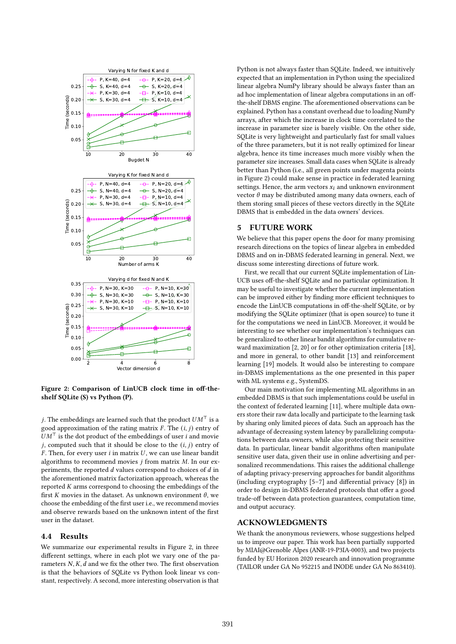

Figure 2: Comparison of LinUCB clock time in off-theshelf SQLite (S) vs Python (P).

*j*. The embeddings are learned such that the product  $UM<sup>T</sup>$  is a good approximation of the rating matrix  $F$ . The  $(i, j)$  entry of  $UM<sup>T</sup>$  is the dot product of the embeddings of user *i* and movie *j*, computed such that it should be close to the  $(i, j)$  entry of  $F$ . Then, for every user  $i$  in matrix  $U$ , we can use linear bandit algorithms to recommend movies  $i$  from matrix  $M$ . In our experiments, the reported  $d$  values correspond to choices of  $d$  in the aforementioned matrix factorization approach, whereas the reported  $K$  arms correspond to choosing the embeddings of the first *K* movies in the dataset. As unknown environment  $\theta$ , we choose the embedding of the first user i.e., we recommend movies and observe rewards based on the unknown intent of the first user in the dataset.

### 4.4 Results

We summarize our experimental results in Figure 2, in three different settings, where in each plot we vary one of the parameters  $N, K, d$  and we fix the other two. The first observation is that the behaviors of SQLite vs Python look linear vs constant, respectively. A second, more interesting observation is that

Python is not always faster than SQLite. Indeed, we intuitively expected that an implementation in Python using the specialized linear algebra NumPy library should be always faster than an ad hoc implementation of linear algebra computations in an offthe-shelf DBMS engine. The aforementioned observations can be explained. Python has a constant overhead due to loading NumPy arrays, after which the increase in clock time correlated to the increase in parameter size is barely visible. On the other side, SQLite is very lightweight and particularly fast for small values of the three parameters, but it is not really optimized for linear algebra, hence its time increases much more visibly when the parameter size increases. Small data cases when SQLite is already better than Python (i.e., all green points under magenta points in Figure 2) could make sense in practice in federated learning settings. Hence, the arm vectors  $x_i$  and unknown environment vector  $\theta$  may be distributed among many data owners, each of them storing small pieces of these vectors directly in the SQLite DBMS that is embedded in the data owners' devices.

# 5 FUTURE WORK

We believe that this paper opens the door for many promising research directions on the topics of linear algebra in embedded DBMS and on in-DBMS federated learning in general. Next, we discuss some interesting directions of future work.

First, we recall that our current SQLite implementation of Lin-UCB uses off-the-shelf SQLite and no particular optimization. It may be useful to investigate whether the current implementation can be improved either by finding more efficient techniques to encode the LinUCB computations in off-the-shelf SQLite, or by modifying the SQLite optimizer (that is open source) to tune it for the computations we need in LinUCB. Moreover, it would be interesting to see whether our implementation's techniques can be generalized to other linear bandit algorithms for cumulative reward maximization [2, 20] or for other optimization criteria [18], and more in general, to other bandit [13] and reinforcement learning [19] models. It would also be interesting to compare in-DBMS implementations as the one presented in this paper with ML systems e.g., SystemDS.

Our main motivation for implementing ML algorithms in an embedded DBMS is that such implementations could be useful in the context of federated learning [11], where multiple data owners store their raw data locally and participate to the learning task by sharing only limited pieces of data. Such an approach has the advantage of decreasing system latency by parallelizing computations between data owners, while also protecting their sensitive data. In particular, linear bandit algorithms often manipulate sensitive user data, given their use in online advertising and personalized recommendations. This raises the additional challenge of adapting privacy-preserving approaches for bandit algorithms (including cryptography [5–7] and differential privacy [8]) in order to design in-DBMS federated protocols that offer a good trade-off between data protection guarantees, computation time, and output accuracy.

# ACKNOWLEDGMENTS

We thank the anonymous reviewers, whose suggestions helped us to improve our paper. This work has been partially supported by MIAI@Grenoble Alpes (ANR-19-P3IA-0003), and two projects funded by EU Horizon 2020 research and innovation programme (TAILOR under GA No 952215 and INODE under GA No 863410).